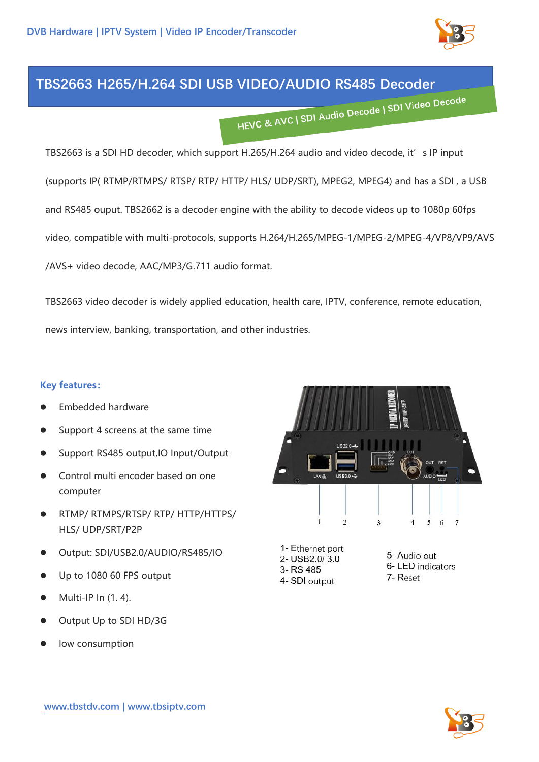

## **TBS2663 H265/H.264 SDI USB VIDEO/AUDIO RS485 Decoder**

TBS2663 is a SDI HD decoder, which support H.265/H.264 audio and video decode, it's IP input (supports IP( RTMP/RTMPS/ RTSP/ RTP/ HTTP/ HLS/ UDP/SRT), MPEG2, MPEG4) and has a SDI , a USB and RS485 ouput. TBS2662 is a decoder engine with the ability to decode videos up to 1080p 60fps video, compatible with multi-protocols, supports H.264/H.265/MPEG-1/MPEG-2/MPEG-4/VP8/VP9/AVS /AVS+ video decode, AAC/MP3/G.711 audio format.

TBS2663 video decoder is widely applied education, health care, IPTV, conference, remote education, news interview, banking, transportation, and other industries.

## **Key features:**

- ⚫ Embedded hardware
- ⚫ Support 4 screens at the same time
- Support RS485 output, IO Input/Output
- ⚫ Control multi encoder based on one computer
- ⚫ RTMP/ RTMPS/RTSP/ RTP/ HTTP/HTTPS/ HLS/ UDP/SRT/P2P
- ⚫ Output: SDI/USB2.0/AUDIO/RS485/IO
- ⚫ Up to 1080 60 FPS output
- ⚫ Multi-IP In (1. 4).
- ⚫ Output Up to SDI HD/3G
- low consumption



- 1- Ethernet port 2- USB2.0/3.0 3-RS 485 4- SDI output
- 5- Audio out 6-LED indicators 7- Reset